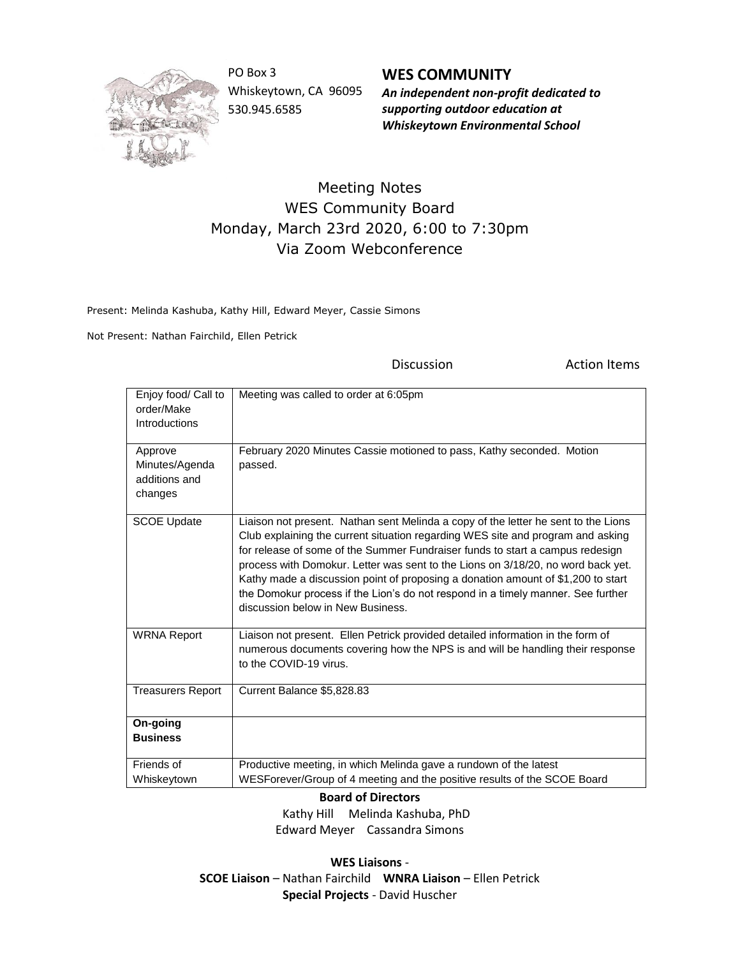

PO Box 3 Whiskeytown, CA 96095 530.945.6585

**WES COMMUNITY** *An independent non-profit dedicated to supporting outdoor education at Whiskeytown Environmental School*

## Meeting Notes WES Community Board Monday, March 23rd 2020, 6:00 to 7:30pm Via Zoom Webconference

Present: Melinda Kashuba, Kathy Hill, Edward Meyer, Cassie Simons

Not Present: Nathan Fairchild, Ellen Petrick

Discussion **Action Items** 

| Enjoy food/ Call to<br>order/Make<br>Introductions    | Meeting was called to order at 6:05pm                                                                                                                                                                                                                                                                                                                                                                                                                                                                                                                   |
|-------------------------------------------------------|---------------------------------------------------------------------------------------------------------------------------------------------------------------------------------------------------------------------------------------------------------------------------------------------------------------------------------------------------------------------------------------------------------------------------------------------------------------------------------------------------------------------------------------------------------|
| Approve<br>Minutes/Agenda<br>additions and<br>changes | February 2020 Minutes Cassie motioned to pass, Kathy seconded. Motion<br>passed.                                                                                                                                                                                                                                                                                                                                                                                                                                                                        |
| <b>SCOE Update</b>                                    | Liaison not present. Nathan sent Melinda a copy of the letter he sent to the Lions<br>Club explaining the current situation regarding WES site and program and asking<br>for release of some of the Summer Fundraiser funds to start a campus redesign<br>process with Domokur. Letter was sent to the Lions on 3/18/20, no word back yet.<br>Kathy made a discussion point of proposing a donation amount of \$1,200 to start<br>the Domokur process if the Lion's do not respond in a timely manner. See further<br>discussion below in New Business. |
| <b>WRNA Report</b>                                    | Liaison not present. Ellen Petrick provided detailed information in the form of<br>numerous documents covering how the NPS is and will be handling their response<br>to the COVID-19 virus.                                                                                                                                                                                                                                                                                                                                                             |
| <b>Treasurers Report</b>                              | Current Balance \$5,828.83                                                                                                                                                                                                                                                                                                                                                                                                                                                                                                                              |
| On-going<br><b>Business</b>                           |                                                                                                                                                                                                                                                                                                                                                                                                                                                                                                                                                         |
| Friends of<br>Whiskeytown                             | Productive meeting, in which Melinda gave a rundown of the latest<br>WESForever/Group of 4 meeting and the positive results of the SCOE Board                                                                                                                                                                                                                                                                                                                                                                                                           |

**Board of Directors**

 Kathy Hill Melinda Kashuba, PhD Edward Meyer Cassandra Simons

**WES Liaisons** - **SCOE Liaison** – Nathan Fairchild **WNRA Liaison** – Ellen Petrick **Special Projects** - David Huscher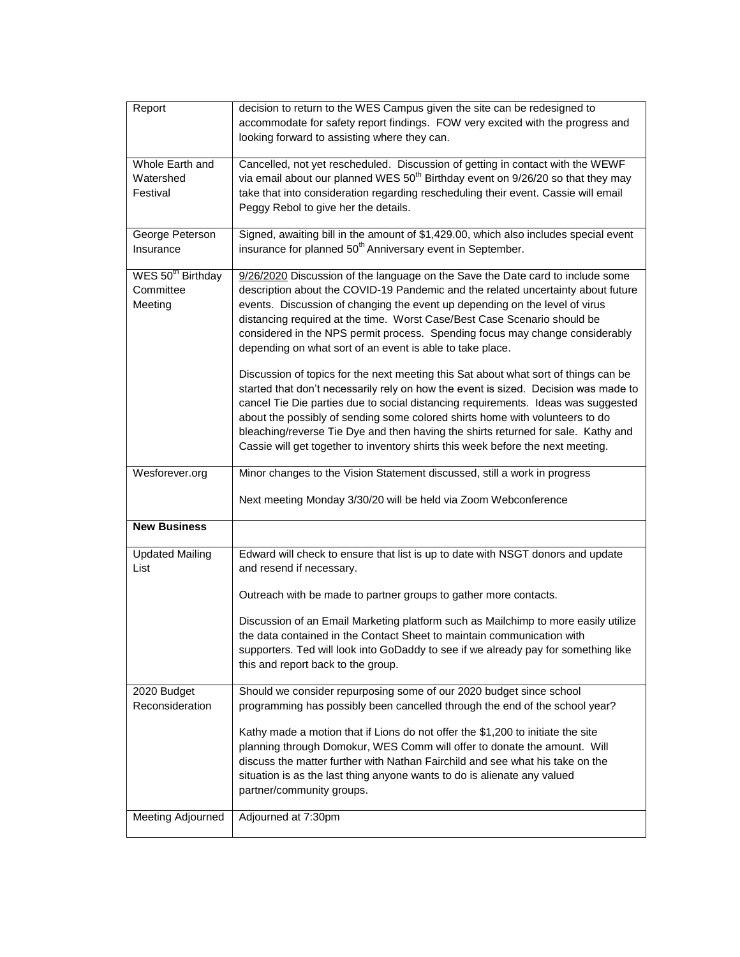| Report                                                | decision to return to the WES Campus given the site can be redesigned to<br>accommodate for safety report findings. FOW very excited with the progress and<br>looking forward to assisting where they can.                                                                                                                                                                                                                                                                                                                                                                                                                                                                                                                                                                                                                                                                                                                                                                                            |
|-------------------------------------------------------|-------------------------------------------------------------------------------------------------------------------------------------------------------------------------------------------------------------------------------------------------------------------------------------------------------------------------------------------------------------------------------------------------------------------------------------------------------------------------------------------------------------------------------------------------------------------------------------------------------------------------------------------------------------------------------------------------------------------------------------------------------------------------------------------------------------------------------------------------------------------------------------------------------------------------------------------------------------------------------------------------------|
| Whole Earth and<br>Watershed<br>Festival              | Cancelled, not yet rescheduled. Discussion of getting in contact with the WEWF<br>via email about our planned WES 50 <sup>th</sup> Birthday event on 9/26/20 so that they may<br>take that into consideration regarding rescheduling their event. Cassie will email<br>Peggy Rebol to give her the details.                                                                                                                                                                                                                                                                                                                                                                                                                                                                                                                                                                                                                                                                                           |
| George Peterson<br>Insurance                          | Signed, awaiting bill in the amount of \$1,429.00, which also includes special event<br>insurance for planned 50 <sup>th</sup> Anniversary event in September.                                                                                                                                                                                                                                                                                                                                                                                                                                                                                                                                                                                                                                                                                                                                                                                                                                        |
| WES 50 <sup>th</sup> Birthday<br>Committee<br>Meeting | 9/26/2020 Discussion of the language on the Save the Date card to include some<br>description about the COVID-19 Pandemic and the related uncertainty about future<br>events. Discussion of changing the event up depending on the level of virus<br>distancing required at the time. Worst Case/Best Case Scenario should be<br>considered in the NPS permit process. Spending focus may change considerably<br>depending on what sort of an event is able to take place.<br>Discussion of topics for the next meeting this Sat about what sort of things can be<br>started that don't necessarily rely on how the event is sized. Decision was made to<br>cancel Tie Die parties due to social distancing requirements. Ideas was suggested<br>about the possibly of sending some colored shirts home with volunteers to do<br>bleaching/reverse Tie Dye and then having the shirts returned for sale. Kathy and<br>Cassie will get together to inventory shirts this week before the next meeting. |
|                                                       |                                                                                                                                                                                                                                                                                                                                                                                                                                                                                                                                                                                                                                                                                                                                                                                                                                                                                                                                                                                                       |
| Wesforever.org                                        | Minor changes to the Vision Statement discussed, still a work in progress<br>Next meeting Monday 3/30/20 will be held via Zoom Webconference                                                                                                                                                                                                                                                                                                                                                                                                                                                                                                                                                                                                                                                                                                                                                                                                                                                          |
| <b>New Business</b>                                   |                                                                                                                                                                                                                                                                                                                                                                                                                                                                                                                                                                                                                                                                                                                                                                                                                                                                                                                                                                                                       |
| <b>Updated Mailing</b><br>List                        | Edward will check to ensure that list is up to date with NSGT donors and update<br>and resend if necessary.<br>Outreach with be made to partner groups to gather more contacts.<br>Discussion of an Email Marketing platform such as Mailchimp to more easily utilize<br>the data contained in the Contact Sheet to maintain communication with<br>supporters. Ted will look into GoDaddy to see if we already pay for something like<br>this and report back to the group.                                                                                                                                                                                                                                                                                                                                                                                                                                                                                                                           |
| 2020 Budget<br>Reconsideration<br>Meeting Adjourned   | Should we consider repurposing some of our 2020 budget since school<br>programming has possibly been cancelled through the end of the school year?<br>Kathy made a motion that if Lions do not offer the \$1,200 to initiate the site<br>planning through Domokur, WES Comm will offer to donate the amount. Will<br>discuss the matter further with Nathan Fairchild and see what his take on the<br>situation is as the last thing anyone wants to do is alienate any valued<br>partner/community groups.<br>Adjourned at 7:30pm                                                                                                                                                                                                                                                                                                                                                                                                                                                                    |